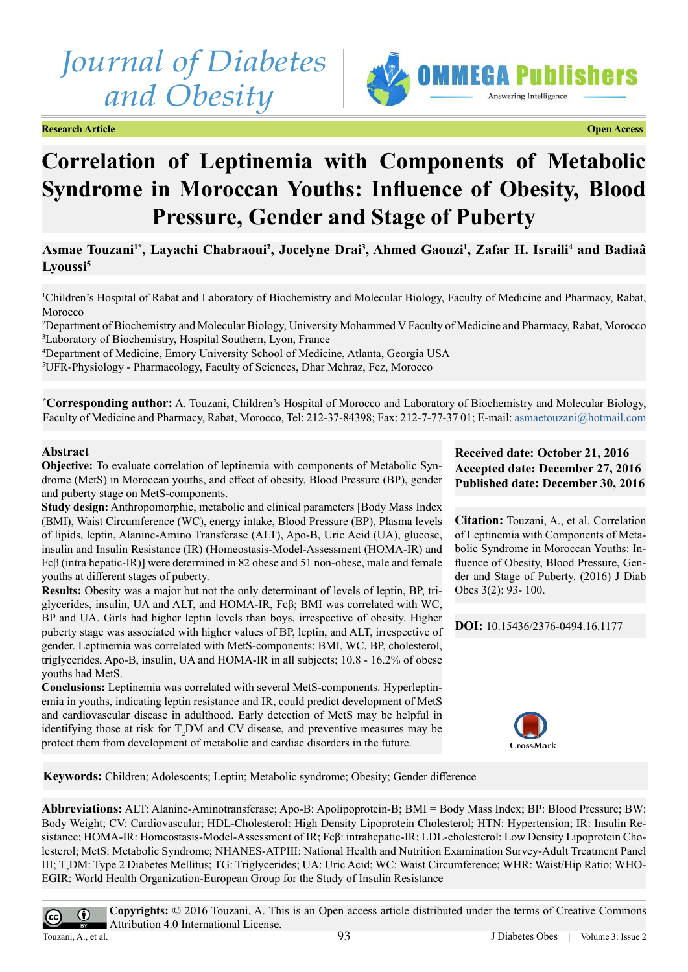# *Journal of Diabetes and Obesity*

**Research Article Open Access**



# **Correlation of Leptinemia with Components of Metabolic Syndrome in Moroccan Youths: Influence of Obesity, Blood Pressure, Gender and Stage of Puberty**

# **Asmae Touzani1\*, Layachi Chabraoui<sup>2</sup> , Jocelyne Drai<sup>3</sup> , Ahmed Gaouzi<sup>1</sup> , Zafar H. Israili<sup>4</sup> and Badiaâ Lyoussi5**

1 Children's Hospital of Rabat and Laboratory of Biochemistry and Molecular Biology, Faculty of Medicine and Pharmacy, Rabat, Morocco

2 Department of Biochemistry and Molecular Biology, University Mohammed V Faculty of Medicine and Pharmacy, Rabat, Morocco 3 Laboratory of Biochemistry, Hospital Southern, Lyon, France

4 Department of Medicine, Emory University School of Medicine, Atlanta, Georgia USA

5 UFR-Physiology - Pharmacology, Faculty of Sciences, Dhar Mehraz, Fez, Morocco

**\* Corresponding author:** A. Touzani, Children's Hospital of Morocco and Laboratory of Biochemistry and Molecular Biology, Faculty of Medicine and Pharmacy, Rabat, Morocco, Tel: 212-37-84398; Fax: 212-7-77-37 01; E-mail: [asmaetouzani@hotmail.com](mailto:asmaetouzani@hotmail.com)

# **Abstract**

**Objective:** To evaluate correlation of leptinemia with components of Metabolic Syndrome (MetS) in Moroccan youths, and effect of obesity, Blood Pressure (BP), gender and puberty stage on MetS-components.

**Study design:** Anthropomorphic, metabolic and clinical parameters [Body Mass Index (BMI), Waist Circumference (WC), energy intake, Blood Pressure (BP), Plasma levels of lipids, leptin, Alanine-Amino Transferase (ALT), Apo-B, Uric Acid (UA), glucose, insulin and Insulin Resistance (IR) (Homeostasis-Model-Assessment (HOMA-IR) and Fcβ (intra hepatic-IR)] were determined in 82 obese and 51 non-obese, male and female youths at different stages of puberty.

**Results:** Obesity was a major but not the only determinant of levels of leptin, BP, triglycerides, insulin, UA and ALT, and HOMA-IR, Fcβ; BMI was correlated with WC, BP and UA. Girls had higher leptin levels than boys, irrespective of obesity. Higher puberty stage was associated with higher values of BP, leptin, and ALT, irrespective of gender. Leptinemia was correlated with MetS-components: BMI, WC, BP, cholesterol, triglycerides, Apo-B, insulin, UA and HOMA-IR in all subjects; 10.8 - 16.2% of obese youths had MetS.

**Conclusions:** Leptinemia was correlated with several MetS-components. Hyperleptinemia in youths, indicating leptin resistance and IR, could predict development of MetS and cardiovascular disease in adulthood. Early detection of MetS may be helpful in identifying those at risk for  $T_2DM$  and CV disease, and preventive measures may be protect them from development of metabolic and cardiac disorders in the future.

# **Received date: October 21, 2016 Accepted date: December 27, 2016 Published date: December 30, 2016**

**Citation:** Touzani, A., et al. Correlation of Leptinemia with Components of Metabolic Syndrome in Moroccan Youths: Influence of Obesity, Blood Pressure, Gender and Stage of Puberty. (2016) J Diab Obes 3(2): 93- 100.

**DOI:** [10.15436/2376-0494.16.](http://www.dx.doi.org/10.15436/2376-0494.16.1177)1177



**Keywords:** Children; Adolescents; Leptin; Metabolic syndrome; Obesity; Gender difference

**Abbreviations:** ALT: Alanine-Aminotransferase; Apo-B: Apolipoprotein-B; BMI = Body Mass Index; BP: Blood Pressure; BW: Body Weight; CV: Cardiovascular; HDL-Cholesterol: High Density Lipoprotein Cholesterol; HTN: Hypertension; IR: Insulin Resistance; HOMA-IR: Homeostasis-Model-Assessment of IR; Fcβ: intrahepatic-IR; LDL-cholesterol: Low Density Lipoprotein Cholesterol; MetS: Metabolic Syndrome; NHANES-ATPIII: National Health and Nutrition Examination Survey-Adult Treatment Panel III; T<sub>2</sub>DM: Type 2 Diabetes Mellitus; TG: Triglycerides; UA: Uric Acid; WC: Waist Circumference; WHR: Waist/Hip Ratio; WHO-EGIR: World Health Organization-European Group for the Study of Insulin Resistance

**Copyrights:** © 2016 Touzani, A. This is an Open access article distributed under the terms of Creative Commons  $^{\circ}$ Attribution 4.0 International License.

 $\left(\mathrm{cc}\right)$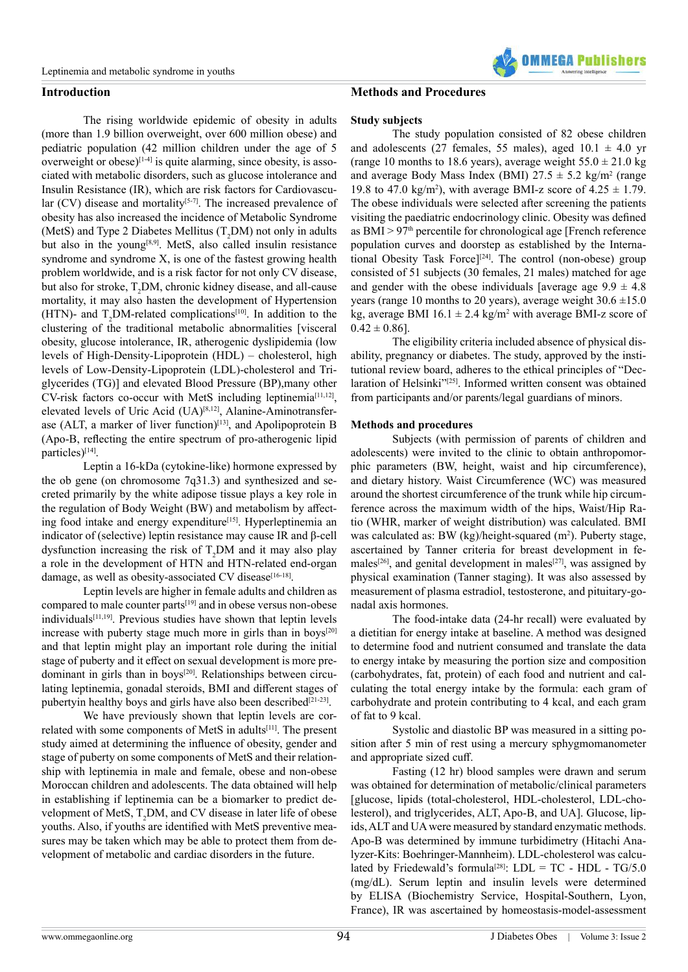# **Introduction**

The rising worldwide epidemic of obesity in adults (more than 1.9 billion overweight, over 600 million obese) and pediatric population (42 million children under the age of 5 overweight or obese)<sup>[\[1-4\]](#page-6-0)</sup> is quite alarming, since obesity, is associated with metabolic disorders, such as glucose intolerance and Insulin Resistance (IR), which are risk factors for Cardiovascular  $(CV)$  disease and mortality<sup>[\[5-7\]](#page-6-1)</sup>. The increased prevalence of obesity has also increased the incidence of Metabolic Syndrome (MetS) and Type 2 Diabetes Mellitus  $(T_2DM)$  not only in adults but also in the young[\[8,9\]](#page-7-0). MetS, also called insulin resistance syndrome and syndrome X, is one of the fastest growing health problem worldwide, and is a risk factor for not only CV disease, but also for stroke,  $T_2DM$ , chronic kidney disease, and all-cause mortality, it may also hasten the development of Hypertension (HTN)- and  $T_2DM$ -related complications<sup>[\[10\]](#page-7-1)</sup>. In addition to the clustering of the traditional metabolic abnormalities [visceral obesity, glucose intolerance, IR, atherogenic dyslipidemia (low levels of High-Density-Lipoprotein (HDL) – cholesterol, high levels of Low-Density-Lipoprotein (LDL)-cholesterol and Triglycerides (TG)] and elevated Blood Pressure (BP),many other CV-risk factors co-occur with MetS including leptinemia[\[11,12\]](#page-7-2), elevated levels of Uric Acid (UA)<sup>[\[8,12\]](#page-7-0)</sup>, Alanine-Aminotransfer-ase (ALT, a marker of liver function)<sup>[\[13\]](#page-7-3)</sup>, and Apolipoprotein B (Apo-B, reflecting the entire spectrum of pro-atherogenic lipid particles)<sup>[\[14\]](#page-7-4)</sup>.

Leptin a 16-kDa (cytokine-like) hormone expressed by the ob gene (on chromosome 7q31.3) and synthesized and secreted primarily by the white adipose tissue plays a key role in the regulation of Body Weight (BW) and metabolism by affect-ing food intake and energy expenditure<sup>[\[15\]](#page-7-5)</sup>. Hyperleptinemia an indicator of (selective) leptin resistance may cause IR and β-cell dysfunction increasing the risk of  $T_2DM$  and it may also play a role in the development of HTN and HTN-related end-organ damage, as well as obesity-associated CV disease[\[16-18\]](#page-7-6).

Leptin levels are higher in female adults and children as compared to male counter parts[\[19\]](#page-7-7) and in obese versus non-obese individuals<sup>[\[11,19\]](#page-7-2)</sup>. Previous studies have shown that leptin levels increase with puberty stage much more in girls than in boys<sup>[\[20\]](#page-7-8)</sup> and that leptin might play an important role during the initial stage of puberty and it effect on sexual development is more pre-dominant in girls than in boys<sup>[\[20\]](#page-7-8)</sup>. Relationships between circulating leptinemia, gonadal steroids, BMI and different stages of pubertyin healthy boys and girls have also been described $[21-23]$ .

We have previously shown that leptin levels are cor-related with some components of MetS in adults<sup>[\[11\]](#page-7-2)</sup>. The present study aimed at determining the influence of obesity, gender and stage of puberty on some components of MetS and their relationship with leptinemia in male and female, obese and non-obese Moroccan children and adolescents. The data obtained will help in establishing if leptinemia can be a biomarker to predict development of MetS,  $T_2DM$ , and CV disease in later life of obese youths. Also, if youths are identified with MetS preventive measures may be taken which may be able to protect them from development of metabolic and cardiac disorders in the future.

# **Methods and Procedures**

#### **Study subjects**

The study population consisted of 82 obese children and adolescents (27 females, 55 males), aged  $10.1 \pm 4.0$  yr (range 10 months to 18.6 years), average weight  $55.0 \pm 21.0$  kg and average Body Mass Index (BMI)  $27.5 \pm 5.2$  kg/m<sup>2</sup> (range 19.8 to 47.0 kg/m<sup>2</sup>), with average BMI-z score of  $4.25 \pm 1.79$ . The obese individuals were selected after screening the patients visiting the paediatric endocrinology clinic. Obesity was defined as  $BMI > 97<sup>th</sup>$  percentile for chronological age [French reference population curves and doorstep as established by the International Obesity Task Force<sup>[[24]</sup>. The control (non-obese) group consisted of 51 subjects (30 females, 21 males) matched for age and gender with the obese individuals [average age  $9.9 \pm 4.8$ ] years (range 10 months to 20 years), average weight  $30.6 \pm 15.0$ kg, average BMI  $16.1 \pm 2.4$  kg/m<sup>2</sup> with average BMI-z score of  $0.42 \pm 0.86$ .

**IMMFGA Puhlist** 

The eligibility criteria included absence of physical disability, pregnancy or diabetes. The study, approved by the institutional review board, adheres to the ethical principles of "Dec-laration of Helsinki"<sup>[\[25\]](#page-7-11)</sup>. Informed written consent was obtained from participants and/or parents/legal guardians of minors.

# **Methods and procedures**

Subjects (with permission of parents of children and adolescents) were invited to the clinic to obtain anthropomorphic parameters (BW, height, waist and hip circumference), and dietary history. Waist Circumference (WC) was measured around the shortest circumference of the trunk while hip circumference across the maximum width of the hips, Waist/Hip Ratio (WHR, marker of weight distribution) was calculated. BMI was calculated as: BW  $(kg)/height$ -squared  $(m<sup>2</sup>)$ . Puberty stage, ascertained by Tanner criteria for breast development in fe-males<sup>[\[26\]](#page-7-12)</sup>, and genital development in males<sup>[\[27\]](#page-7-13)</sup>, was assigned by physical examination (Tanner staging). It was also assessed by measurement of plasma estradiol, testosterone, and pituitary-gonadal axis hormones.

The food-intake data (24-hr recall) were evaluated by a dietitian for energy intake at baseline. A method was designed to determine food and nutrient consumed and translate the data to energy intake by measuring the portion size and composition (carbohydrates, fat, protein) of each food and nutrient and calculating the total energy intake by the formula: each gram of carbohydrate and protein contributing to 4 kcal, and each gram of fat to 9 kcal.

Systolic and diastolic BP was measured in a sitting position after 5 min of rest using a mercury sphygmomanometer and appropriate sized cuff.

Fasting (12 hr) blood samples were drawn and serum was obtained for determination of metabolic/clinical parameters [glucose, lipids (total-cholesterol, HDL-cholesterol, LDL-cholesterol), and triglycerides, ALT, Apo-B, and UA]. Glucose, lipids, ALT and UA were measured by standard enzymatic methods. Apo-B was determined by immune turbidimetry (Hitachi Analyzer-Kits: Boehringer-Mannheim). LDL-cholesterol was calcu-lated by Friedewald's formula<sup>[\[28\]](#page-7-14)</sup>: LDL = TC - HDL - TG/5.0 (mg/dL). Serum leptin and insulin levels were determined by ELISA (Biochemistry Service, Hospital-Southern, Lyon, France), IR was ascertained by homeostasis-model-assessment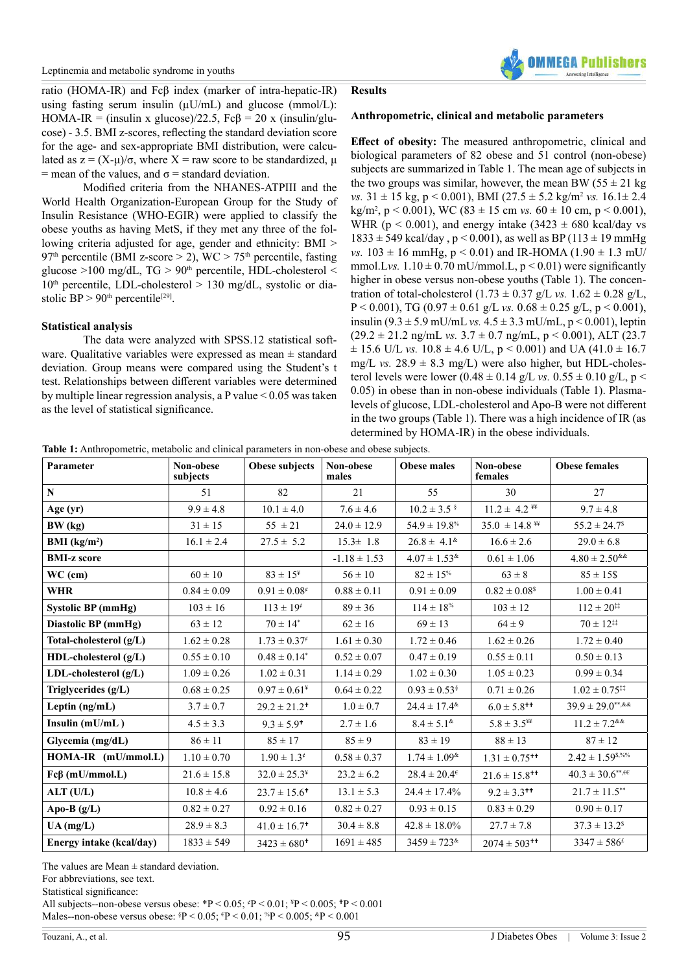

ratio (HOMA-IR) and Fcβ index (marker of intra-hepatic-IR) using fasting serum insulin ( $\mu$ U/mL) and glucose (mmol/L): HOMA-IR = (insulin x glucose)/22.5,  $Fc\beta = 20$  x (insulin/glucose) - 3.5. BMI z-scores, reflecting the standard deviation score for the age- and sex-appropriate BMI distribution, were calculated as  $z = (X-u)/\sigma$ , where  $X = raw$  score to be standardized, u = mean of the values, and  $\sigma$  = standard deviation.

Modified criteria from the NHANES-ATPIII and the World Health Organization-European Group for the Study of Insulin Resistance (WHO-EGIR) were applied to classify the obese youths as having MetS, if they met any three of the following criteria adjusted for age, gender and ethnicity: BMI > 97<sup>th</sup> percentile (BMI z-score  $>$  2), WC  $>$  75<sup>th</sup> percentile, fasting glucose  $>100$  mg/dL, TG  $> 90<sup>th</sup>$  percentile, HDL-cholesterol  $<$  $10<sup>th</sup>$  percentile, LDL-cholesterol > 130 mg/dL, systolic or diastolic  $BP > 90<sup>th</sup>$  percentile<sup>[\[29\]](#page-7-15)</sup>.

#### **Statistical analysis**

The data were analyzed with SPSS.12 statistical software. Qualitative variables were expressed as mean ± standard deviation. Group means were compared using the Student's t test. Relationships between different variables were determined by multiple linear regression analysis, a P value < 0.05 was taken as the level of statistical significance.

# **Results**

#### **Anthropometric, clinical and metabolic parameters**

**Effect of obesity:** The measured anthropometric, clinical and biological parameters of 82 obese and 51 control (non-obese) subjects are summarized in Table 1. The mean age of subjects in the two groups was similar, however, the mean BW ( $55 \pm 21$  kg) *vs.*  $31 \pm 15$  kg,  $p < 0.001$ ), BMI  $(27.5 \pm 5.2$  kg/m<sup>2</sup> *vs.*  $16.1 \pm 2.4$  $\text{kg/m}^2$ , p < 0.001), WC (83  $\pm$  15 cm *vs.* 60  $\pm$  10 cm, p < 0.001), WHR ( $p < 0.001$ ), and energy intake (3423  $\pm$  680 kcal/day vs  $1833 \pm 549$  kcal/day,  $p < 0.001$ ), as well as BP (113  $\pm$  19 mmHg *vs.*  $103 \pm 16$  mmHg,  $p < 0.01$ ) and IR-HOMA  $(1.90 \pm 1.3$  mU/ mmol.Lvs.  $1.10 \pm 0.70$  mU/mmol.L,  $p < 0.01$ ) were significantly higher in obese versus non-obese youths (Table 1). The concentration of total-cholesterol  $(1.73 \pm 0.37 \text{ g/L} \text{ vs. } 1.62 \pm 0.28 \text{ g/L}$ , P < 0.001), TG (0.97  $\pm$  0.61 g/L *vs.* 0.68  $\pm$  0.25 g/L, p < 0.001), insulin (9.3 ± 5.9 mU/mL *vs.* 4.5 ± 3.3 mU/mL, p < 0.001), leptin  $(29.2 \pm 21.2 \text{ ng/mL vs. } 3.7 \pm 0.7 \text{ ng/mL}, p < 0.001)$ , ALT  $(23.7)$  $\pm$  15.6 U/L *vs.* 10.8  $\pm$  4.6 U/L, p < 0.001) and UA (41.0  $\pm$  16.7 mg/L *vs.*  $28.9 \pm 8.3$  mg/L) were also higher, but HDL-cholesterol levels were lower  $(0.48 \pm 0.14 \text{ g/L} \text{ vs. } 0.55 \pm 0.10 \text{ g/L}, \text{ p}$  < 0.05) in obese than in non-obese individuals (Table 1). Plasmalevels of glucose, LDL-cholesterol and Apo-B were not different in the two groups (Table 1). There was a high incidence of IR (as determined by HOMA-IR) in the obese individuals.

**Table 1:** Anthropometric, metabolic and clinical parameters in non-obese and obese subjects.

| Parameter                | Non-obese<br>subjects | Obese subjects               | Non-obese<br>males | <b>Obese males</b>               | Non-obese<br>females          | <b>Obese females</b>                      |  |
|--------------------------|-----------------------|------------------------------|--------------------|----------------------------------|-------------------------------|-------------------------------------------|--|
| ${\bf N}$                | 51                    | 82                           | 21                 | 55                               | 30                            | 27                                        |  |
| Age (yr)                 | $9.9 \pm 4.8$         | $10.1 \pm 4.0$               | $7.6 \pm 4.6$      | $10.2 \pm 3.5$ \$                | $11.2 \pm 4.2$ \\             | $9.7 \pm 4.8$                             |  |
| BW (kg)                  | $31 \pm 15$           | $55 \pm 21$                  | $24.0 \pm 12.9$    | $54.9 \pm 19.8$ <sup>%</sup>     |                               | $55.2 \pm 24.7^s$                         |  |
| BMI $(kg/m2)$            | $16.1 \pm 2.4$        | $27.5 \pm 5.2$               | $15.3 \pm 1.8$     | $26.8 \pm 4.1^{\&}$              | $16.6 \pm 2.6$                | $29.0 \pm 6.8$                            |  |
| <b>BMI-z score</b>       |                       |                              | $-1.18 \pm 1.53$   | $4.07 \pm 1.53$ <sup>&amp;</sup> | $0.61 \pm 1.06$               | $4.80 \pm 2.50$ <sup>&amp;&amp;</sup>     |  |
| $WC$ (cm)                | $60 \pm 10$           | $83 \pm 15^*$                | $56 \pm 10$        | $82 \pm 15$ %                    | $63 \pm 8$                    | $85 \pm 15$ \$                            |  |
| <b>WHR</b>               | $0.84 \pm 0.09$       | $0.91 \pm 0.08^{\circ}$      | $0.88 \pm 0.11$    | $0.91 \pm 0.09$                  | $0.82 \pm 0.08$ <sup>\$</sup> | $1.00 \pm 0.41$                           |  |
| Systolic BP (mmHg)       | $103 \pm 16$          | $113 \pm 19^e$               | $89 \pm 36$        | $114 \pm 18\%$                   | $103 \pm 12$                  | $112 \pm 20^{11}$                         |  |
| Diastolic BP (mmHg)      | $63 \pm 12$           | $70 \pm 14^*$                | $62 \pm 16$        | $69 \pm 13$                      | $64 \pm 9$                    | $70 \pm 12^{11}$                          |  |
| Total-cholesterol (g/L)  | $1.62 \pm 0.28$       | $1.73 \pm 0.37^{\circ}$      | $1.61 \pm 0.30$    | $1.72 \pm 0.46$                  | $1.62 \pm 0.26$               | $1.72 \pm 0.40$                           |  |
| HDL-cholesterol (g/L)    | $0.55 \pm 0.10$       | $0.48 \pm 0.14^*$            | $0.52 \pm 0.07$    | $0.47 \pm 0.19$                  | $0.55 \pm 0.11$               | $0.50 \pm 0.13$                           |  |
| LDL-cholesterol (g/L)    | $1.09 \pm 0.26$       | $1.02 \pm 0.31$              | $1.14 \pm 0.29$    | $1.02 \pm 0.30$                  | $1.05 \pm 0.23$               | $0.99 \pm 0.34$                           |  |
| Triglycerides (g/L)      | $0.68 \pm 0.25$       | $0.97 \pm 0.61^*$            | $0.64 \pm 0.22$    | $0.93 \pm 0.53$ <sup>§</sup>     | $0.71 \pm 0.26$               | $1.02 \pm 0.75$ <sup>##</sup>             |  |
| Leptin (ng/mL)           | $3.7 \pm 0.7$         | $29.2 \pm 21.2$ <sup>+</sup> | $1.0 \pm 0.7$      | $24.4 \pm 17.4$ <sup>&amp;</sup> | $6.0 \pm 5.8$ <sup>++</sup>   | $39.9 \pm 29.0***$                        |  |
| Insulin (mU/mL)          | $4.5 \pm 3.3$         | $9.3 \pm 5.9$ <sup>+</sup>   | $2.7 \pm 1.6$      | $8.4 \pm 5.1^{\&}$               | $5.8 \pm 3.5^{**}$            | $11.2 \pm 7.2$ <sup>&amp;&amp;</sup>      |  |
| Glycemia (mg/dL)         | $86 \pm 11$           | $85 \pm 17$                  | $85 \pm 9$         | $83 \pm 19$                      | $88 \pm 13$                   | $87 \pm 12$                               |  |
| HOMA-IR (mU/mmol.L)      | $1.10 \pm 0.70$       | $1.90 \pm 1.3^{\circ}$       | $0.58 \pm 0.37$    | $1.74 \pm 1.09$ <sup>&amp;</sup> | $1.31 \pm 0.75$ <sup>++</sup> | $2.42 \pm 1.59$ <sup>\$,%%</sup>          |  |
| $Fc\beta$ (mU/mmol.L)    | $21.6 \pm 15.8$       | $32.0 \pm 25.3^*$            | $23.2 \pm 6.2$     | $28.4 \pm 20.4^{\epsilon}$       | $21.6 \pm 15.8$ <sup>**</sup> | $40.3 \pm 30.6$ **, $\epsilon$ $\epsilon$ |  |
| ALT (U/L)                | $10.8 \pm 4.6$        | $23.7 \pm 15.6$ <sup>+</sup> | $13.1 \pm 5.3$     | $24.4 \pm 17.4\%$                | $9.2 \pm 3.3$ <sup>++</sup>   | $21.7 \pm 11.5$ **                        |  |
| Apo-B $(g/L)$            | $0.82 \pm 0.27$       | $0.92 \pm 0.16$              | $0.82 \pm 0.27$    | $0.93 \pm 0.15$                  | $0.83 \pm 0.29$               | $0.90 \pm 0.17$                           |  |
| $UA$ (mg/L)              | $28.9 \pm 8.3$        | $41.0 \pm 16.7$ <sup>*</sup> | $30.4 \pm 8.8$     | $42.8 \pm 18.0\%$                | $27.7 \pm 7.8$                | $37.3 \pm 13.2$ <sup>\$</sup>             |  |
| Energy intake (kcal/day) | $1833 \pm 549$        | $3423 \pm 680^+$             | $1691 \pm 485$     | $3459 \pm 723$ <sup>&amp;</sup>  | $2074 \pm 503$ <sup>++</sup>  | $3347 \pm 586^{\text{t}}$                 |  |

The values are Mean  $\pm$  standard deviation.

For abbreviations, see text.

Statistical significance:

All subjects--non-obese versus obese: \*P < 0.05; \*P < 0.01; \*P < 0.005; \*P < 0.001

Males--non-obese versus obese:  $P < 0.05$ ;  $P < 0.01$ ;  $P > 0.005$ ;  $P < 0.001$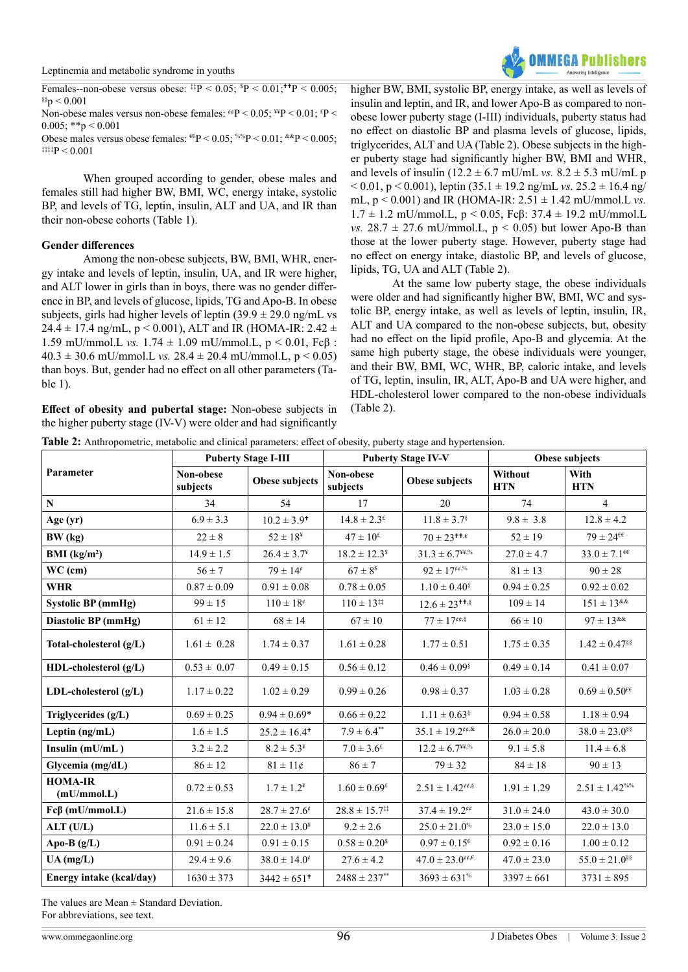

Females--non-obese versus obese:  $\frac{1}{2}P < 0.05$ ;  $P < 0.01$ ;  $\frac{1}{P} < 0.005$ ;  $$^{86}$ p < 0.001 Non-obese males versus non-obese females:  $\frac{\dot{\epsilon}}{P}$  < 0.05; \geq \epsilongle \epsilongle \epsilongle \epsilongle \epsilongle \epsilongle \epsilongle \epsilongle \epsilongle \epsilongle \epsilongle \epsilongle \epsilong  $0.005$ ; \*\*p < 0.001 Obese males versus obese females:  $^{6}P < 0.05$ ;  $^{60}P < 0.01$ ;  $^{60}P < 0.005$ ;  $\text{#}\uparrow$  = 0.001

When grouped according to gender, obese males and females still had higher BW, BMI, WC, energy intake, systolic BP, and levels of TG, leptin, insulin, ALT and UA, and IR than their non-obese cohorts (Table 1).

### **Gender differences**

Among the non-obese subjects, BW, BMI, WHR, energy intake and levels of leptin, insulin, UA, and IR were higher, and ALT lower in girls than in boys, there was no gender difference in BP, and levels of glucose, lipids, TG and Apo-B. In obese subjects, girls had higher levels of leptin  $(39.9 \pm 29.0 \text{ ng/mL}$  vs 24.4  $\pm$  17.4 ng/mL, p < 0.001), ALT and IR (HOMA-IR: 2.42  $\pm$ 1.59 mU/mmol.L *vs.* 1.74 ± 1.09 mU/mmol.L, p < 0.01, Fcβ :  $40.3 \pm 30.6$  mU/mmol.L *vs.*  $28.4 \pm 20.4$  mU/mmol.L,  $p < 0.05$ ) than boys. But, gender had no effect on all other parameters (Table 1).

**Effect of obesity and pubertal stage:** Non-obese subjects in the higher puberty stage (IV-V) were older and had significantly

higher BW, BMI, systolic BP, energy intake, as well as levels of insulin and leptin, and IR, and lower Apo-B as compared to nonobese lower puberty stage (I-III) individuals, puberty status had no effect on diastolic BP and plasma levels of glucose, lipids, triglycerides, ALT and UA (Table 2). Obese subjects in the higher puberty stage had significantly higher BW, BMI and WHR, and levels of insulin  $(12.2 \pm 6.7 \text{ mU/mL vs. } 8.2 \pm 5.3 \text{ mU/mL p})$  $< 0.01$ , p  $< 0.001$ ), leptin (35.1  $\pm$  19.2 ng/mL *vs.* 25.2  $\pm$  16.4 ng/ mL,  $p < 0.001$ ) and IR (HOMA-IR:  $2.51 \pm 1.42$  mU/mmol.L *vs.* 1.7 ± 1.2 mU/mmol.L, p < 0.05, Fcβ: 37.4 ± 19.2 mU/mmol.L *vs.*  $28.7 \pm 27.6$  mU/mmol.L,  $p < 0.05$ ) but lower Apo-B than those at the lower puberty stage. However, puberty stage had no effect on energy intake, diastolic BP, and levels of glucose, lipids, TG, UA and ALT (Table 2).

At the same low puberty stage, the obese individuals were older and had significantly higher BW, BMI, WC and systolic BP, energy intake, as well as levels of leptin, insulin, IR, ALT and UA compared to the non-obese subjects, but, obesity had no effect on the lipid profile, Apo-B and glycemia. At the same high puberty stage, the obese individuals were younger, and their BW, BMI, WC, WHR, BP, caloric intake, and levels of TG, leptin, insulin, IR, ALT, Apo-B and UA were higher, and HDL-cholesterol lower compared to the non-obese individuals (Table 2).

|                               |                                               | <b>Puberty Stage I-III</b>   |                                                    | <b>Puberty Stage IV-V</b>                                                                                                                                                                                                                        | Obese subjects        |                               |  |
|-------------------------------|-----------------------------------------------|------------------------------|----------------------------------------------------|--------------------------------------------------------------------------------------------------------------------------------------------------------------------------------------------------------------------------------------------------|-----------------------|-------------------------------|--|
| Parameter                     | Non-obese<br>subjects                         | Obese subjects               | Non-obese<br>subjects                              | Obese subjects                                                                                                                                                                                                                                   | Without<br><b>HTN</b> | With<br><b>HTN</b>            |  |
| $\mathbf N$                   | 34                                            | 54                           | 17                                                 | 20                                                                                                                                                                                                                                               | 74                    | $\overline{4}$                |  |
| Age (yr)                      | $6.9 \pm 3.3$                                 | $10.2 \pm 3.9$ <sup>+</sup>  | $14.8 \pm 2.3^{\text{f}}$                          | $11.8 \pm 3.7$ <sup>§</sup>                                                                                                                                                                                                                      | $9.8 \pm 3.8$         | $12.8 \pm 4.2$                |  |
| BW (kg)                       | $22 \pm 8$                                    | $52\pm18^{\rm o}$            | $47 \pm 10^{2}$                                    | $70 \pm 23^{\text{++},\epsilon}$                                                                                                                                                                                                                 | $52 \pm 19$           | $79 \pm 24$ <sup>ee</sup>     |  |
| BMI $(kg/m2)$                 | $14.9 \pm 1.5$                                | $26.4 \pm 3.7^*$             | $18.2 \pm 12.3$ <sup>\$</sup>                      | $31.3 \pm 6.7$ <sup>44,%</sup>                                                                                                                                                                                                                   | $27.0 \pm 4.7$        | $33.0 \pm 7.1$ <sup>ee</sup>  |  |
| $WC$ (cm)                     | $56 \pm 7$                                    | $79 \pm 14^{\circ}$          | $67 \pm 8^s$                                       | $92 \pm 17$ <sup>ee,%</sup>                                                                                                                                                                                                                      | $81 \pm 13$           | $90 \pm 28$                   |  |
| <b>WHR</b>                    | $0.87\pm0.09$                                 | $0.91 \pm 0.08$              | $0.78 \pm 0.05$                                    | $1.10 \pm 0.40$ <sup>§</sup>                                                                                                                                                                                                                     | $0.94 \pm 0.25$       | $0.92 \pm 0.02$               |  |
| <b>Systolic BP (mmHg)</b>     | $99 \pm 15$                                   | $110 \pm 18^{\circ}$         | $110 \pm 13^{11}$                                  | $12.6 \pm 23$ <sup>++,§</sup>                                                                                                                                                                                                                    | $109 \pm 14$          | $151 \pm 13$ & &              |  |
| Diastolic BP (mmHg)           | $61 \pm 12$                                   | $68 \pm 14$                  | $67 \pm 10$                                        | $77 \pm 17$ <sup>¢¢,§</sup>                                                                                                                                                                                                                      | $66 \pm 10$           | $97 \pm 13^{k\&}$             |  |
| Total-cholesterol (g/L)       | $1.61 \pm 0.28$                               |                              | $1.61 \pm 0.28$                                    | $1.77 \pm 0.51$                                                                                                                                                                                                                                  | $1.75 \pm 0.35$       | $1.42 \pm 0.47$ <sup>§§</sup> |  |
| HDL-cholesterol $(g/L)$       | $0.53 \pm 0.07$                               | $0.49 \pm 0.15$              | $0.56 \pm 0.12$                                    | $0.46 \pm 0.09$ <sup>§</sup>                                                                                                                                                                                                                     | $0.49 \pm 0.14$       | $0.41 \pm 0.07$               |  |
| $LDL$ -cholesterol $(g/L)$    | $1.17 \pm 0.22$                               | $1.02 \pm 0.29$              | $0.99 \pm 0.26$                                    | $0.98 \pm 0.37$                                                                                                                                                                                                                                  | $1.03 \pm 0.28$       | $0.69 \pm 0.50$ <sup>ee</sup> |  |
| Triglycerides (g/L)           | $0.69 \pm 0.25$                               | $0.94 \pm 0.69*$             | $0.66 \pm 0.22$                                    | $1.11 \pm 0.63$ <sup>§</sup>                                                                                                                                                                                                                     | $0.94 \pm 0.58$       | $1.18 \pm 0.94$               |  |
| Leptin $(ng/mL)$              | $1.6 \pm 1.5$                                 | $25.2 \pm 16.4$ <sup>+</sup> | $7.9 \pm 6.4^{**}$                                 | $35.1 \pm 19.2$ <sup>ee,&amp;</sup>                                                                                                                                                                                                              | $26.0 \pm 20.0$       | $38.0 \pm 23.0$ <sup>§§</sup> |  |
| Insulin (mU/mL)               | $3.2 \pm 2.2$                                 | $8.2 \pm 5.3^*$              | $7.0 \pm 3.6^{\text{f}}$                           | $12.2 \pm 6.7$ <sup>\\\right</sup> ,\tild{\sigma_na{\sigma_na{\sigma_na{\sigma_na{\sigma_na}\$ \sigma_na{\sigma_na}\$ \sigma_na{\sigma_na{\sigma_na}\$ \sigma_na{\sigma_na}\$ \sigma_na{\sigma_na}\$ \sigma_na{\sigma_na}\$ \sigma_na{\sigma_na} | $9.1 \pm 5.8$         | $11.4 \pm 6.8$                |  |
| Glycemia (mg/dL)              | $86 \pm 12$                                   | $81 \pm 11$ ¢                | $86 \pm 7$                                         | $79 \pm 32$                                                                                                                                                                                                                                      | $84 \pm 18$           | $90 \pm 13$                   |  |
| <b>HOMA-IR</b><br>(mU/mmol.L) | $0.72 \pm 0.53$                               | $1.7 \pm 1.2^*$              | $1.60 \pm 0.69^{\text{E}}$                         | $2.51 \pm 1.42$ <sup>¢¢,§</sup>                                                                                                                                                                                                                  | $1.91 \pm 1.29$       | $2.51 \pm 1.42$ %%            |  |
| $Fc\beta$ (mU/mmol.L)         | $21.6 \pm 15.8$                               | $28.7 \pm 27.6^{\circ}$      | $28.8 \pm 15.7$ <sup>‡‡</sup>                      | $37.4 \pm 19.2$ <sup>ee</sup>                                                                                                                                                                                                                    | $31.0 \pm 24.0$       | $43.0 \pm 30.0$               |  |
| ALT (U/L)                     | $11.6 \pm 5.1$                                | $22.0 \pm 13.0^*$            | $9.2 \pm 2.6$                                      | $25.0 \pm 21.0$ <sup>%</sup>                                                                                                                                                                                                                     | $23.0 \pm 15.0$       | $22.0 \pm 13.0$               |  |
| Apo-B $(g/L)$                 | $0.91 \pm 0.24$                               | $0.91 \pm 0.15$              | $0.58 \pm 0.20^s$                                  | $0.97\pm0.15^{\varepsilon}$                                                                                                                                                                                                                      | $0.92 \pm 0.16$       | $1.00 \pm 0.12$               |  |
| $UA$ (mg/L)                   | $29.4 \pm 9.6$                                | $38.0 \pm 14.0^{\circ}$      | $27.6 \pm 4.2$                                     | $47.0 \pm 23.0$ <sup>ee,<math>\epsilon</math></sup>                                                                                                                                                                                              | $47.0 \pm 23.0$       | $55.0 \pm 21.0$ <sup>§§</sup> |  |
| Energy intake (kcal/day)      | $1630 \pm 373$<br>$3442 \pm 651$ <sup>+</sup> |                              | $2488 \pm 237^{**}$<br>$3693 \pm 631$ <sup>%</sup> |                                                                                                                                                                                                                                                  | $3397 \pm 661$        | $3731 \pm 895$                |  |

The values are Mean  $\pm$  Standard Deviation.

For abbreviations, see text.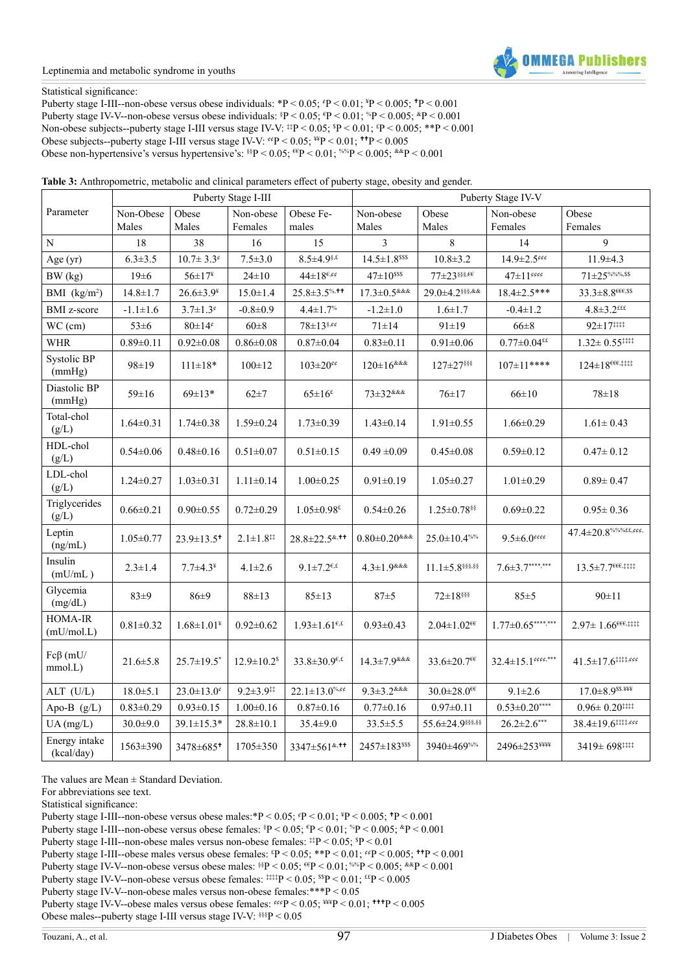#### Leptinemia and metabolic syndrome in youths



#### Statistical significance:

Puberty stage I-III--non-obese versus obese individuals: \*P < 0.05;  $P < 0.01$ ; \*P < 0.005; \*P < 0.001 Puberty stage IV-V--non-obese versus obese individuals:  $P < 0.05$ ;  $P < 0.01$ ;  $P > 0.005$ ;  $P < 0.001$ Non-obese subjects--puberty stage I-III versus stage IV-V:  $^{14}P < 0.05$ ;  $^{8}P < 0.01$ ;  $^{4}P < 0.005$ ;  $^{*}P < 0.001$ Obese subjects--puberty stage I-III versus stage IV-V:  $\frac{\text{#P}}{9}$  < 0.05; \frac{\math}\$P < 0.005} \text{D}\$P < 0.005} Obese non-hypertensive's versus hypertensive's:  $\frac{\text{N}}{2} < 0.05$ ;  $\frac{\text{C}}{2} < 0.01$ ;  $\frac{\text{N}}{2} < 0.005$ ;  $\frac{\text{A}}{2} < 0.001$ 

**Table 3:** Anthropometric, metabolic and clinical parameters effect of puberty stage, obesity and gender.

|                             |                    |                              | Puberty Stage I-III           |                                                       | Puberty Stage IV-V                        |                               |                               |                                                                            |  |  |
|-----------------------------|--------------------|------------------------------|-------------------------------|-------------------------------------------------------|-------------------------------------------|-------------------------------|-------------------------------|----------------------------------------------------------------------------|--|--|
| Parameter                   | Non-Obese<br>Males | Obese<br>Males               | Non-obese<br>Females          | Obese Fe-<br>males                                    | Non-obese<br>Males                        | Obese<br>Males                | Non-obese<br>Females          | Obese<br>Females                                                           |  |  |
| N                           | 18                 | 38                           | 16                            | 15                                                    | $\overline{3}$                            | 8                             | 14                            | 9                                                                          |  |  |
| Age (yr)                    | $6.3 \pm 3.5$      | $10.7 \pm 3.3^{\circ}$       | $7.5 \pm 3.0$                 | $8.5 \pm 4.9$ <sup>§,£</sup>                          | $14.5 \pm 1.8$ sss                        | $10.8 + 3.2$                  | $14.9 \pm 2.5$ <sup>eee</sup> | $11.9 + 4.3$                                                               |  |  |
| BW (kg)                     | $19 \pm 6$         | $56\pm17^{\textnormal{g}}$   | $24 \pm 10$                   | $44{\pm}18^{{\epsilon},\!\epsilon\!\cdot\! \epsilon}$ | $47 \pm 10^{sss}$                         | $77\pm23$ \$\$\$,66           | $47{\pm}11^{\text{ecc}}$      | $71\pm25\%$ %%,\$\$                                                        |  |  |
| BMI $(kg/m2)$               | $14.8 \pm 1.7$     | $26.6 \pm 3.9^{\frac{1}{4}}$ | $15.0 \pm 1.4$                | $25.8 \pm 3.5$ %, **                                  | $17.3 \pm 0.5$ &&&                        | 29.0±4.2§§§,&&                | 18.4±2.5***                   | $33.3 \pm 8.8$ eee,ss                                                      |  |  |
| <b>BMI</b> z-score          | $-1.1 \pm 1.6$     | $3.7 \pm 1.3$ <sup>¢</sup>   | $-0.8 + 0.9$                  | $4.4 \pm 1.7$ %                                       | $-1.2 \pm 1.0$                            | $1.6 \pm 1.7$                 | $-0.4 \pm 1.2$                | $4.8 \pm 3.2$ <sup>£££</sup>                                               |  |  |
| WC (cm)                     | $53 \pm 6$         | $80 \pm 14^{\circ}$          | $60\pm8$                      | $78\pm13$ \$,¢¢                                       | $71 \pm 14$                               | $91 \pm 19$                   | $66 \pm 8$                    | 92±17###                                                                   |  |  |
| <b>WHR</b>                  | $0.89 \pm 0.11$    | $0.92 \pm 0.08$              | $0.86 \pm 0.08$               | $0.87{\pm}0.04$                                       | $0.83 \pm 0.11$                           | $0.91 \pm 0.06$               | $0.77 \pm 0.04$ <sup>££</sup> | $1.32 \pm 0.55$ <sup>‡‡‡‡</sup>                                            |  |  |
| Systolic BP<br>(mmHg)       | 98±19              | $111 \pm 18*$                | $100 \pm 12$                  | $103 \pm 20$ <sup>ee</sup>                            | $120 \pm 16$ &&&                          | 127±27 \$\$                   | $107 \pm 11***$               | $124\pm18^{\epsilon\epsilon\epsilon,\ddag\ddag\ddag\ddag}$                 |  |  |
| Diastolic BP<br>(mmHg)      | $59 \pm 16$        | $69 \pm 13*$                 | $62 + 7$                      | $65\pm16$ <sup>£</sup>                                | $73 \pm 32$ &&&                           | $76 \pm 17$                   | $66 \pm 10$                   | $78 + 18$                                                                  |  |  |
| Total-chol<br>(g/L)         | $1.64 \pm 0.31$    | $1.74 \pm 0.38$              | $1.59 \pm 0.24$               | $1.73 \pm 0.39$                                       | $1.43 \pm 0.14$                           | $1.91 \pm 0.55$               | $1.66 \pm 0.29$               | $1.61 \pm 0.43$                                                            |  |  |
| HDL-chol<br>(g/L)           | $0.54 \pm 0.06$    | $0.48 + 0.16$                | $0.51 \pm 0.07$               | $0.51 \pm 0.15$                                       | $0.49 \pm 0.09$                           | $0.45 \pm 0.08$               | $0.59 \pm 0.12$               | $0.47 \pm 0.12$                                                            |  |  |
| LDL-chol<br>(g/L)           | $1.24 \pm 0.27$    | $1.03 \pm 0.31$              | $1.11 \pm 0.14$               | $1.00 \pm 0.25$                                       | $0.91 \pm 0.19$                           | $1.05 \pm 0.27$               | $1.01 \pm 0.29$               | $0.89 \pm 0.47$                                                            |  |  |
| Triglycerides<br>(g/L)      | $0.66 \pm 0.21$    | $0.90 \pm 0.55$              | $0.72 \pm 0.29$               | $1.05 \pm 0.98^{\mathrm{g}}$                          | $0.54 \pm 0.26$                           | 1.25±0.78 \$                  | $0.69 \pm 0.22$               | $0.95 \pm 0.36$                                                            |  |  |
| Leptin<br>(ng/mL)           | $1.05 \pm 0.77$    | $23.9 \pm 13.5$ <sup>+</sup> | $2.1 \pm 1.8$ <sup>‡‡</sup>   | 28.8±22.5 <sup>&amp;,++</sup>                         | $0.80 \pm 0.20$ &&&                       | $25.0 \pm 10.4$ %%            | $9.5 \pm 6.0$ eeee            | $47.4 \pm 20.8$ %%%££,¢¢¢,                                                 |  |  |
| Insulin<br>(mU/mL)          | $2.3 \pm 1.4$      | $7.7 \pm 4.3^*$              | $4.1 \pm 2.6$                 | $9.1 \pm 7.2^{\epsilon,\epsilon}$                     | $4.3 \pm 1.9$ & & &                       | $11.1\pm5.8$ §§§§.§§          | $7.6 \pm 3.7******$           | $13.5 \pm 7.7^{\epsilon\epsilon\epsilon,\ddagger\ddagger\ddagger\ddagger}$ |  |  |
| Glycemia<br>(mg/dL)         | $83\pm9$           | $86 + 9$                     | $88 \pm 13$                   | $85 \pm 13$                                           | $87 + 5$                                  | $72 \pm 18$ §§§               | $85 + 5$                      | $90 \pm 11$                                                                |  |  |
| HOMA-IR<br>(mU/mol.L)       | $0.81 \pm 0.32$    | $1.68 \pm 1.01^*$            | $0.92 \pm 0.62$               | $1.93 \pm 1.61^{\epsilon,\epsilon}$                   | $0.93 \pm 0.43$                           | $2.04 \pm 1.02$ <sup>ee</sup> | $1.77 \pm 0.65$ ****,***      | $2.97 \pm 1.66$ <sup>eee</sup> ####                                        |  |  |
| $Fc\beta$ (mU/<br>mmol.L)   | $21.6 \pm 5.8$     | $25.7 \pm 19.5$ *            | $12.9 \pm 10.2$ <sup>\$</sup> | $33.8 \pm 30.9^{\epsilon,\epsilon}$                   | $14.3 \pm 7.9$ <sup>&amp;&amp;&amp;</sup> | 33.6±20.7€€                   | $32.4 \pm 15.1$ exer.***      | $41.5{\pm}17.6^{\text{111},\text{eff}}$                                    |  |  |
| ALT (U/L)                   | $18.0 \pm 5.1$     | $23.0 \pm 13.0^{\circ}$      | $9.2 \pm 3.9$ <sup>**</sup>   | $22.1 \pm 13.0^{\% ,\ell \notin}$                     | $9.3 \pm 3.2$ &&&                         | $30.0 \pm 28.0$ <sup>ee</sup> | $9.1 \pm 2.6$                 | $17.0 \pm 8.9$ \$\$.                                                       |  |  |
| Apo-B (g/L)                 | $0.83 \pm 0.29$    | $0.93 \pm 0.15$              | $1.00 \pm 0.16$               | $0.87 \pm 0.16$                                       | $0.77 \pm 0.16$                           | $0.97 \pm 0.11$               | $0.53 \pm 0.20***$            | $0.96\pm0.20$<br>:::::                                                     |  |  |
| $UA$ (mg/L)                 | $30.0 + 9.0$       | $39.1 \pm 15.3*$             | $28.8 \pm 10.1$               | $35.4 \pm 9.0$                                        | $33.5 \pm 5.5$                            | 55.6±24.9888.88               | $26.2 \pm 2.6***$             |                                                                            |  |  |
| Energy intake<br>(kcal/day) | 1563±390           | 3478±685*                    | $1705 \pm 350$                | 3347±561 <sup>&amp;,++</sup>                          | 2457±183sss                               | 3940±469%%                    | 2496±253 <sup>¥¥¥¥</sup>      | 3419± 698###                                                               |  |  |

The values are Mean  $\pm$  Standard Deviation.

For abbreviations see text.

Statistical significance:

Puberty stage I-III--non-obese versus obese males:\*P < 0.05;  $P$  < 0.01;  $P$  < 0.005;  $P$  < 0.001

Puberty stage I-III--non-obese versus obese females:  $P < 0.05$ ;  $P < 0.01$ ;  $P > 0.005$ ;  $P < 0.001$ 

Puberty stage I-III--non-obese males versus non-obese females:  $\frac{\text{#P}}{\text{#P}}$  < 0.05;  $\frac{\text{SP}}{\text{P}}$  < 0.01

Puberty stage I-III--obese males versus obese females:  ${}^{\epsilon}P$  < 0.05; \*\*P < 0.01;  ${}^{\epsilon\epsilon}P$  < 0.005; \*\*P < 0.0001

Puberty stage IV-V--non-obese versus obese males:  $\frac{\text{N}}{2}$  < 0.05;  $\frac{\text{C}}{2}$  < 0.01;  $\frac{\text{N}}{2}$  < 0.005;  $\frac{\text{N}}{2}$  < 0.001

Puberty stage IV-V--non-obese versus obese females:  $\frac{1}{2}$   $\frac{1}{2}$   $\frac{1}{2}$   $\frac{1}{2}$   $\frac{1}{2}$   $\frac{1}{2}$   $\frac{1}{2}$   $\frac{1}{2}$   $\frac{1}{2}$   $\frac{1}{2}$   $\frac{1}{2}$   $\frac{1}{2}$   $\frac{1}{2}$   $\frac{1}{2}$   $\frac{1}{2}$   $\frac{1}{2}$   $\frac{1}{2}$ 

Puberty stage IV-V--non-obese males versus non-obese females:\*\*\*P < 0.05

Puberty stage IV-V--obese males versus obese females:  $\frac{\text{#F}}{P}$  < 0.05;  $\frac{\text{#F}}{P}$  < 0.01;  $\frac{\text{#F}}{P}$  < 0.005

Obese males--puberty stage I-III versus stage IV-V: §§§ $P$  < 0.05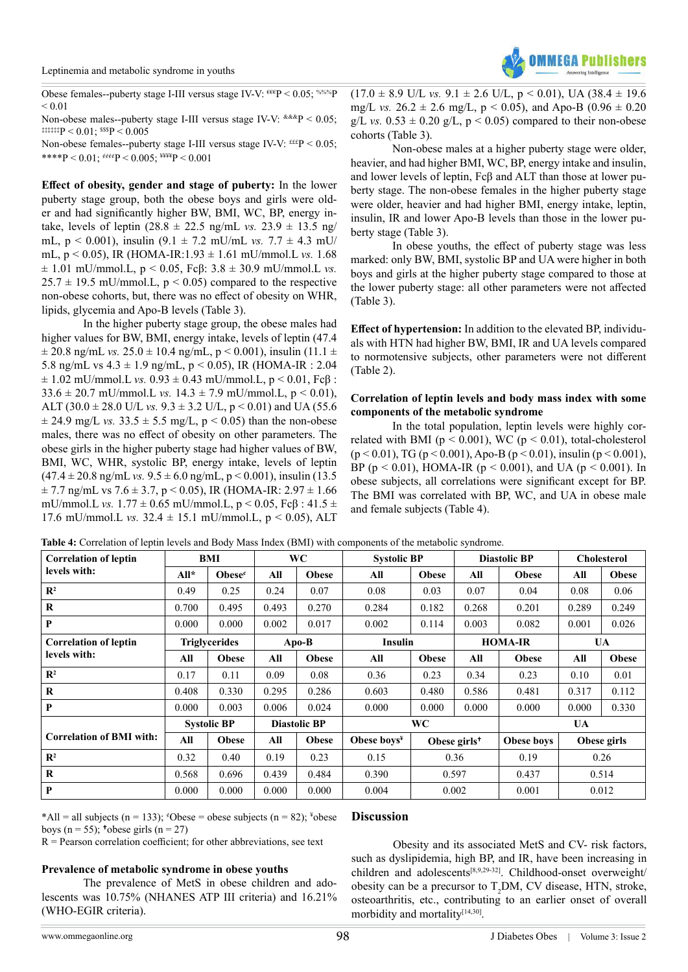

Obese females--puberty stage I-III versus stage IV-V:  $^{66}P$  < 0.05;  $^{%6\%P}$  $< 0.01$ 

Non-obese males--puberty stage I-III versus stage IV-V: &&&P < 0.05;  $\text{#}\{\text{#}\}$  = 0.01;  $\text{#}\{589\}$  = 0.005

Non-obese females--puberty stage I-III versus stage IV-V:  $\text{f\textsc{tf}}$ P < 0.05; \*\*\*\*P < 0.01;  $\frac{\text{eV}}{\text{eV}}$  < 0.005;  $\frac{\text{W}}{\text{H}}$  < 0.001

**Effect of obesity, gender and stage of puberty:** In the lower puberty stage group, both the obese boys and girls were older and had significantly higher BW, BMI, WC, BP, energy intake, levels of leptin  $(28.8 \pm 22.5 \text{ ng/mL vs. } 23.9 \pm 13.5 \text{ ng/}$ mL, p < 0.001), insulin (9.1 ± 7.2 mU/mL *vs.* 7.7 ± 4.3 mU/ mL, p < 0.05), IR (HOMA-IR:1.93 ± 1.61 mU/mmol.L *vs.* 1.68  $\pm$  1.01 mU/mmol.L, p < 0.05, Fc $\beta$ : 3.8  $\pm$  30.9 mU/mmol.L *vs.*  $25.7 \pm 19.5$  mU/mmol.L,  $p < 0.05$ ) compared to the respective non-obese cohorts, but, there was no effect of obesity on WHR, lipids, glycemia and Apo-B levels (Table 3).

In the higher puberty stage group, the obese males had higher values for BW, BMI, energy intake, levels of leptin (47.4  $\pm$  20.8 ng/mL *vs.* 25.0  $\pm$  10.4 ng/mL, p < 0.001), insulin (11.1  $\pm$ 5.8 ng/mL vs  $4.3 \pm 1.9$  ng/mL,  $p < 0.05$ ), IR (HOMA-IR : 2.04  $\pm$  1.02 mU/mmol.L *vs.* 0.93  $\pm$  0.43 mU/mmol.L,  $p < 0.01$ , Fc $\beta$ : 33.6  $\pm$  20.7 mU/mmol.L *vs.* 14.3  $\pm$  7.9 mU/mmol.L, p < 0.01), ALT  $(30.0 \pm 28.0 \text{ U/L} \text{ vs. } 9.3 \pm 3.2 \text{ U/L}, \text{p} < 0.01)$  and UA (55.6)  $\pm$  24.9 mg/L *vs.* 33.5  $\pm$  5.5 mg/L, p < 0.05) than the non-obese males, there was no effect of obesity on other parameters. The obese girls in the higher puberty stage had higher values of BW, BMI, WC, WHR, systolic BP, energy intake, levels of leptin  $(47.4 \pm 20.8 \text{ ng/mL vs. } 9.5 \pm 6.0 \text{ ng/mL}, p < 0.001)$ , insulin (13.5)  $\pm$  7.7 ng/mL vs 7.6  $\pm$  3.7, p < 0.05), IR (HOMA-IR: 2.97  $\pm$  1.66 mU/mmol.L *vs.*  $1.77 \pm 0.65$  mU/mmol.L,  $p < 0.05$ ,  $Fc\beta : 41.5 \pm 1.5$ 17.6 mU/mmol.L *vs.* 32.4 ± 15.1 mU/mmol.L, p < 0.05), ALT

 $(17.0 \pm 8.9 \text{ U/L vs. } 9.1 \pm 2.6 \text{ U/L}, p < 0.01)$ , UA  $(38.4 \pm 19.6$ mg/L *vs.*  $26.2 \pm 2.6$  mg/L,  $p < 0.05$ ), and Apo-B  $(0.96 \pm 0.20)$ g/L *vs.*  $0.53 \pm 0.20$  g/L,  $p \le 0.05$ ) compared to their non-obese cohorts (Table 3).

Non-obese males at a higher puberty stage were older, heavier, and had higher BMI, WC, BP, energy intake and insulin, and lower levels of leptin, Fcβ and ALT than those at lower puberty stage. The non-obese females in the higher puberty stage were older, heavier and had higher BMI, energy intake, leptin, insulin, IR and lower Apo-B levels than those in the lower puberty stage (Table 3).

In obese youths, the effect of puberty stage was less marked: only BW, BMI, systolic BP and UA were higher in both boys and girls at the higher puberty stage compared to those at the lower puberty stage: all other parameters were not affected (Table 3).

**Effect of hypertension:** In addition to the elevated BP, individuals with HTN had higher BW, BMI, IR and UA levels compared to normotensive subjects, other parameters were not different (Table 2).

#### **Correlation of leptin levels and body mass index with some components of the metabolic syndrome**

In the total population, leptin levels were highly correlated with BMI ( $p < 0.001$ ), WC ( $p < 0.01$ ), total-cholesterol  $(p < 0.01)$ , TG  $(p < 0.001)$ , Apo-B  $(p < 0.01)$ , insulin  $(p < 0.001)$ , BP ( $p < 0.01$ ), HOMA-IR ( $p < 0.001$ ), and UA ( $p < 0.001$ ). In obese subjects, all correlations were significant except for BP. The BMI was correlated with BP, WC, and UA in obese male and female subjects (Table 4).

| <b>Correlation of leptin</b>    | BMI                  |                  | <b>WC</b>           |              | <b>Systolic BP</b> |                | <b>Diastolic BP</b>      |              | <b>Cholesterol</b> |              |
|---------------------------------|----------------------|------------------|---------------------|--------------|--------------------|----------------|--------------------------|--------------|--------------------|--------------|
| levels with:                    | $All*$               | Obese $\epsilon$ | All                 | <b>Obese</b> | All                | <b>Obese</b>   | All                      | <b>Obese</b> | All                | <b>Obese</b> |
| $\mathbb{R}^2$                  | 0.49                 | 0.25             | 0.24                | 0.07         | 0.08               | 0.03           | 0.07                     | 0.04         | 0.08               | 0.06         |
| $\bf{R}$                        | 0.700                | 0.495            | 0.493               | 0.270        | 0.284              | 0.182          | 0.268                    | 0.201        | 0.289              | 0.249        |
| P                               | 0.000                | 0.000            | 0.002               | 0.017        | 0.002              | 0.114          | 0.003                    | 0.082        | 0.001              | 0.026        |
| <b>Correlation of leptin</b>    | <b>Triglycerides</b> |                  | $\bf Apo-B$         |              | Insulin            |                | <b>HOMA-IR</b>           |              | UA                 |              |
| levels with:                    | All                  | <b>Obese</b>     | All                 | <b>Obese</b> | All                | <b>Obese</b>   | All                      | <b>Obese</b> | All                | <b>Obese</b> |
| $\mathbb{R}^2$                  | 0.17                 | 0.11             | 0.09                | 0.08         | 0.36               | 0.23           | 0.34                     | 0.23         | 0.10               | 0.01         |
| $\bf{R}$                        | 0.408                | 0.330            | 0.295               | 0.286        | 0.603              | 0.480          | 0.586                    | 0.481        | 0.317              | 0.112        |
| P                               | 0.000                | 0.003            | 0.006               | 0.024        | 0.000              | 0.000          | 0.000                    | 0.000        | 0.000              | 0.330        |
|                                 | <b>Systolic BP</b>   |                  | <b>Diastolic BP</b> |              | <b>WC</b>          |                |                          |              | UA.                |              |
| <b>Correlation of BMI with:</b> | All                  | <b>Obese</b>     | All                 | <b>Obese</b> | Obese boys $*$     |                | Obese girls <sup>+</sup> | Obese boys   | Obese girls        |              |
| $\mathbf{R}^2$                  | 0.32                 | 0.40             | 0.19                | 0.23         | 0.15               | 0.36           |                          | 0.19         | 0.26               |              |
| R                               | 0.568                | 0.696            | 0.439               | 0.484        | 0.390              | 0.597          |                          | 0.437        | 0.514              |              |
| P                               | 0.000                | 0.000            | 0.000               | 0.000        | 0.004              | 0.002<br>0.001 |                          | 0.012        |                    |              |

**Table 4:** Correlation of leptin levels and Body Mass Index (BMI) with components of the metabolic syndrome.

\*All = all subjects (n = 133); \*Obese = obese subjects (n = 82); \*obese boys (n = 55);  $\text{t}$  obese girls (n = 27)

 $R =$  Pearson correlation coefficient; for other abbreviations, see text

#### **Prevalence of metabolic syndrome in obese youths**

The prevalence of MetS in obese children and adolescents was 10.75% (NHANES ATP III criteria) and 16.21% (WHO-EGIR criteria).

### **Discussion**

Obesity and its associated MetS and CV- risk factors, such as dyslipidemia, high BP, and IR, have been increasing in children and adolescents<sup>[\[8,9,29-32\]](#page-7-0)</sup>. Childhood-onset overweight/ obesity can be a precursor to  $T_2DM$ , CV disease, HTN, stroke, osteoarthritis, etc., contributing to an earlier onset of overall morbidity and mortality<sup>[\[14,30\]](#page-7-4)</sup>.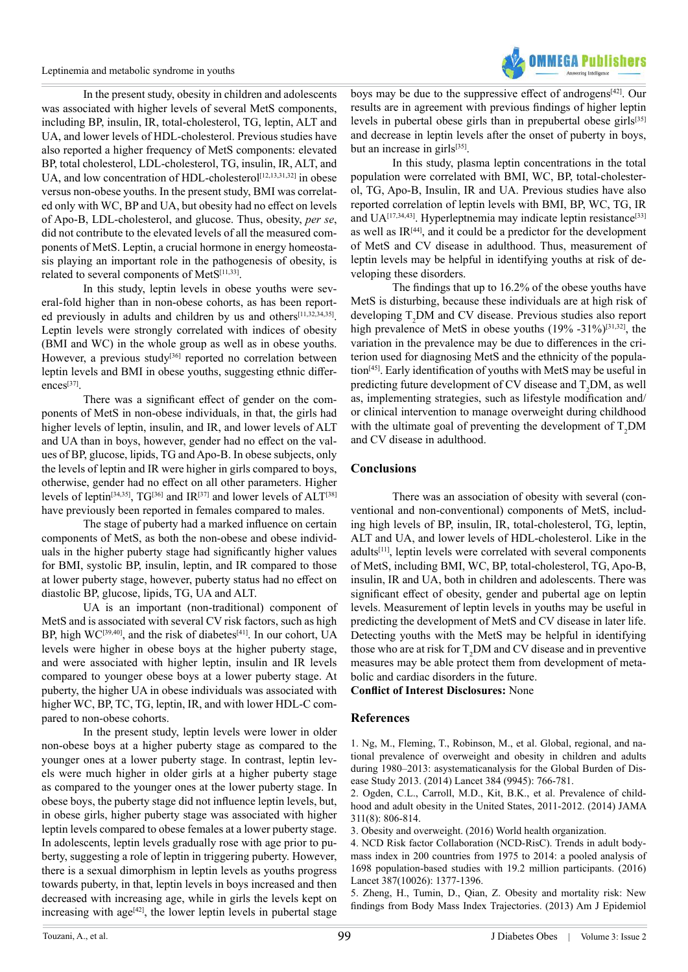Leptinemia and metabolic syndrome in youths



In the present study, obesity in children and adolescents was associated with higher levels of several MetS components, including BP, insulin, IR, total-cholesterol, TG, leptin, ALT and UA, and lower levels of HDL-cholesterol. Previous studies have also reported a higher frequency of MetS components: elevated BP, total cholesterol, LDL-cholesterol, TG, insulin, IR, ALT, and UA, and low concentration of HDL-cholesterol<sup>[\[12,13,31,32\]](#page-7-16)</sup> in obese versus non-obese youths. In the present study, BMI was correlated only with WC, BP and UA, but obesity had no effect on levels of Apo-B, LDL-cholesterol, and glucose. Thus, obesity, *per se*, did not contribute to the elevated levels of all the measured components of MetS. Leptin, a crucial hormone in energy homeostasis playing an important role in the pathogenesis of obesity, is related to several components of MetS[\[11,33\]](#page-7-2).

In this study, leptin levels in obese youths were several-fold higher than in non-obese cohorts, as has been report-ed previously in adults and children by us and others<sup>[\[11,32,34,35\]](#page-7-2)</sup>. Leptin levels were strongly correlated with indices of obesity (BMI and WC) in the whole group as well as in obese youths. However, a previous study<sup>[\[36\]](#page-7-17)</sup> reported no correlation between leptin levels and BMI in obese youths, suggesting ethnic differences[\[37\]](#page-7-18).

There was a significant effect of gender on the components of MetS in non-obese individuals, in that, the girls had higher levels of leptin, insulin, and IR, and lower levels of ALT and UA than in boys, however, gender had no effect on the values of BP, glucose, lipids, TG and Apo-B. In obese subjects, only the levels of leptin and IR were higher in girls compared to boys, otherwise, gender had no effect on all other parameters. Higher levels of leptin<sup>[\[34,35\]](#page-7-19)</sup>, TG<sup>[\[36\]](#page-7-17)</sup> and IR<sup>[\[37\]](#page-7-18)</sup> and lower levels of ALT<sup>[\[38\]](#page-7-20)</sup> have previously been reported in females compared to males.

The stage of puberty had a marked influence on certain components of MetS, as both the non-obese and obese individuals in the higher puberty stage had significantly higher values for BMI, systolic BP, insulin, leptin, and IR compared to those at lower puberty stage, however, puberty status had no effect on diastolic BP, glucose, lipids, TG, UA and ALT.

UA is an important (non-traditional) component of MetS and is associated with several CV risk factors, such as high BP, high WC<sup>[\[39,40\]](#page-7-21)</sup>, and the risk of diabetes<sup>[\[41\]](#page-7-22)</sup>. In our cohort, UA levels were higher in obese boys at the higher puberty stage, and were associated with higher leptin, insulin and IR levels compared to younger obese boys at a lower puberty stage. At puberty, the higher UA in obese individuals was associated with higher WC, BP, TC, TG, leptin, IR, and with lower HDL-C compared to non-obese cohorts.

In the present study, leptin levels were lower in older non-obese boys at a higher puberty stage as compared to the younger ones at a lower puberty stage. In contrast, leptin levels were much higher in older girls at a higher puberty stage as compared to the younger ones at the lower puberty stage. In obese boys, the puberty stage did not influence leptin levels, but, in obese girls, higher puberty stage was associated with higher leptin levels compared to obese females at a lower puberty stage. In adolescents, leptin levels gradually rose with age prior to puberty, suggesting a role of leptin in triggering puberty. However, there is a sexual dimorphism in leptin levels as youths progress towards puberty, in that, leptin levels in boys increased and then decreased with increasing age, while in girls the levels kept on increasing with age $[42]$ , the lower leptin levels in pubertal stage

boys may be due to the suppressive effect of androgens[\[42\]](#page-7-23). Our results are in agreement with previous findings of higher leptin levels in pubertal obese girls than in prepubertal obese girls<sup>[\[35\]](#page-7-24)</sup> and decrease in leptin levels after the onset of puberty in boys, but an increase in girls[\[35\]](#page-7-24).

In this study, plasma leptin concentrations in the total population were correlated with BMI, WC, BP, total-cholesterol, TG, Apo-B, Insulin, IR and UA. Previous studies have also reported correlation of leptin levels with BMI, BP, WC, TG, IR and UA<sup>[\[17,34,43\]](#page-7-25)</sup>. Hyperleptnemia may indicate leptin resistance<sup>[\[33\]](#page-7-26)</sup> as well as IR[\[44\]](#page-7-27), and it could be a predictor for the development of MetS and CV disease in adulthood. Thus, measurement of leptin levels may be helpful in identifying youths at risk of developing these disorders.

The findings that up to 16.2% of the obese youths have MetS is disturbing, because these individuals are at high risk of developing  $T_2DM$  and CV disease. Previous studies also report high prevalence of MetS in obese youths (19% -31%)<sup>[31,32]</sup>, the variation in the prevalence may be due to differences in the criterion used for diagnosing MetS and the ethnicity of the population[\[45\].](#page-7-29) Early identification of youths with MetS may be useful in predicting future development of CV disease and  $T_2DM$ , as well as, implementing strategies, such as lifestyle modification and/ or clinical intervention to manage overweight during childhood with the ultimate goal of preventing the development of  $T_2DM$ and CV disease in adulthood.

# **Conclusions**

There was an association of obesity with several (conventional and non-conventional) components of MetS, including high levels of BP, insulin, IR, total-cholesterol, TG, leptin, ALT and UA, and lower levels of HDL-cholesterol. Like in the adults[\[11\]](#page-7-2), leptin levels were correlated with several components of MetS, including BMI, WC, BP, total-cholesterol, TG, Apo-B, insulin, IR and UA, both in children and adolescents. There was significant effect of obesity, gender and pubertal age on leptin levels. Measurement of leptin levels in youths may be useful in predicting the development of MetS and CV disease in later life. Detecting youths with the MetS may be helpful in identifying those who are at risk for  $T_2DM$  and CV disease and in preventive measures may be able protect them from development of metabolic and cardiac disorders in the future.

**Conflict of Interest Disclosures:** None

# **References**

<span id="page-6-0"></span>1. [Ng, M., Fleming, T., Robinson, M., et al. Global, regional, and na](https://www.ncbi.nlm.nih.gov/pubmed/24880830)[tional prevalence of overweight and obesity in children and adults](https://www.ncbi.nlm.nih.gov/pubmed/24880830) [during 1980–2013: asystematicanalysis for the Global Burden of Dis](https://www.ncbi.nlm.nih.gov/pubmed/24880830)[ease Study 2013. \(2014\) Lancet 384 \(9945\): 766-781.](https://www.ncbi.nlm.nih.gov/pubmed/24880830)

2. [Ogden, C.L., Carroll, M.D., Kit, B.K., et al. Prevalence of child](https://www.ncbi.nlm.nih.gov/pubmed/24570244)[hood and adult obesity in the United States, 2011-2012. \(2014\) JAMA](https://www.ncbi.nlm.nih.gov/pubmed/24570244) [311\(8\): 806-814.](https://www.ncbi.nlm.nih.gov/pubmed/24570244)

<span id="page-6-1"></span>5. [Zheng, H., Tumin, D., Qian, Z. Obesity and mortality risk: New](https://www.ncbi.nlm.nih.gov/pubmed/24013201) [findings from Body Mass Index Trajectories. \(2013\) Am J Epidemiol](https://www.ncbi.nlm.nih.gov/pubmed/24013201)

<sup>3.</sup> [Obesity and overweight. \(2016\) World health organization.](http://www.who.int/mediacentre/factsheets/fs311/en/) 

<sup>4.</sup> [NCD Risk factor Collaboration \(NCD-RisC\). Trends in adult body](https://www.ncbi.nlm.nih.gov/pubmed/27115820)[mass index in 200 countries from 1975 to 2014: a pooled analysis of](https://www.ncbi.nlm.nih.gov/pubmed/27115820) [1698 population-based studies with 19.2 million participants. \(2016\)](https://www.ncbi.nlm.nih.gov/pubmed/27115820) [Lancet 387\(10026\): 1377-1396.](https://www.ncbi.nlm.nih.gov/pubmed/27115820)